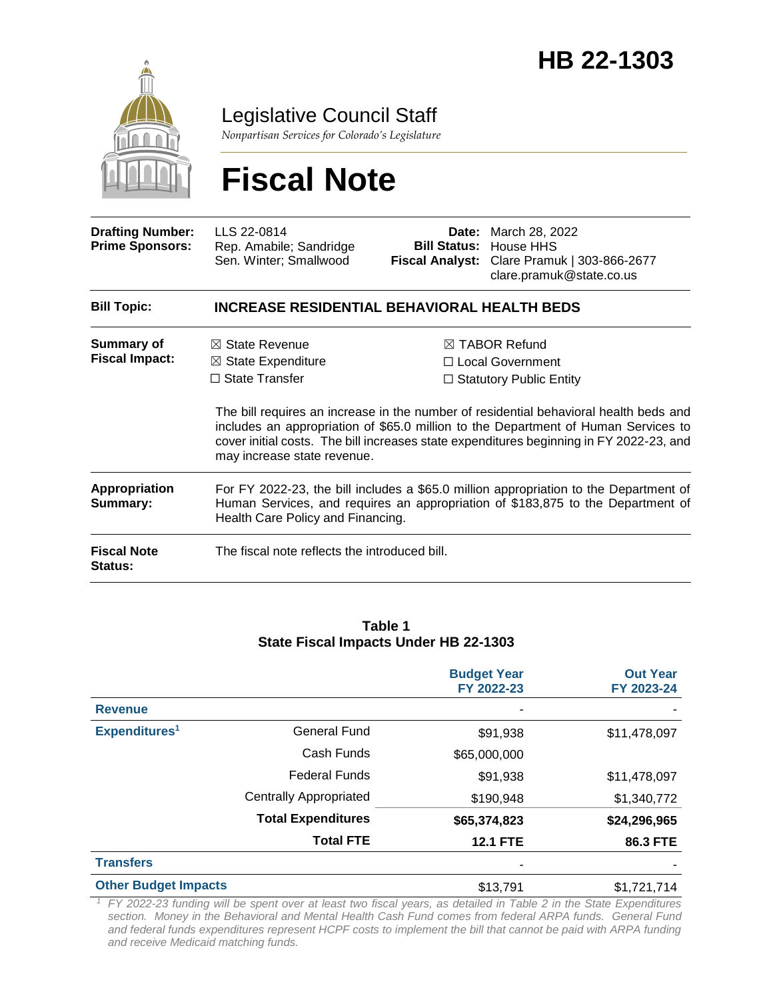

Legislative Council Staff

*Nonpartisan Services for Colorado's Legislature*

# **Fiscal Note**

| <b>Drafting Number:</b><br><b>Prime Sponsors:</b> | LLS 22-0814<br>Rep. Amabile; Sandridge<br>Sen. Winter; Smallwood                                                                                                                                                                                                      | Date: | March 28, 2022<br><b>Bill Status: House HHS</b><br>Fiscal Analyst: Clare Pramuk   303-866-2677<br>clare.pramuk@state.co.us |  |
|---------------------------------------------------|-----------------------------------------------------------------------------------------------------------------------------------------------------------------------------------------------------------------------------------------------------------------------|-------|----------------------------------------------------------------------------------------------------------------------------|--|
| <b>Bill Topic:</b>                                | <b>INCREASE RESIDENTIAL BEHAVIORAL HEALTH BEDS</b>                                                                                                                                                                                                                    |       |                                                                                                                            |  |
| <b>Summary of</b><br><b>Fiscal Impact:</b>        | $\boxtimes$ TABOR Refund<br>$\boxtimes$ State Revenue<br>$\boxtimes$ State Expenditure<br>$\Box$ Local Government<br>$\Box$ State Transfer<br>$\Box$ Statutory Public Entity<br>The bill requires an increase in the number of residential behavioral health beds and |       |                                                                                                                            |  |
|                                                   | includes an appropriation of \$65.0 million to the Department of Human Services to<br>cover initial costs. The bill increases state expenditures beginning in FY 2022-23, and<br>may increase state revenue.                                                          |       |                                                                                                                            |  |
| Appropriation<br>Summary:                         | For FY 2022-23, the bill includes a \$65.0 million appropriation to the Department of<br>Human Services, and requires an appropriation of \$183,875 to the Department of<br>Health Care Policy and Financing.                                                         |       |                                                                                                                            |  |
| <b>Fiscal Note</b><br>Status:                     | The fiscal note reflects the introduced bill.                                                                                                                                                                                                                         |       |                                                                                                                            |  |

#### **Table 1 State Fiscal Impacts Under HB 22-1303**

|                             |                               | <b>Budget Year</b><br>FY 2022-23 | <b>Out Year</b><br>FY 2023-24 |
|-----------------------------|-------------------------------|----------------------------------|-------------------------------|
| <b>Revenue</b>              |                               |                                  |                               |
| Expenditures <sup>1</sup>   | General Fund                  | \$91,938                         | \$11,478,097                  |
|                             | Cash Funds                    | \$65,000,000                     |                               |
|                             | <b>Federal Funds</b>          | \$91,938                         | \$11,478,097                  |
|                             | <b>Centrally Appropriated</b> | \$190,948                        | \$1,340,772                   |
|                             | <b>Total Expenditures</b>     | \$65,374,823                     | \$24,296,965                  |
|                             | <b>Total FTE</b>              | <b>12.1 FTE</b>                  | 86.3 FTE                      |
| <b>Transfers</b>            |                               | ۰                                |                               |
| <b>Other Budget Impacts</b> |                               | \$13,791                         | \$1,721,714                   |

*<sup>1</sup>FY 2022-23 funding will be spent over at least two fiscal years, as detailed in Table 2 in the State Expenditures section. Money in the Behavioral and Mental Health Cash Fund comes from federal ARPA funds. General Fund and federal funds expenditures represent HCPF costs to implement the bill that cannot be paid with ARPA funding and receive Medicaid matching funds.*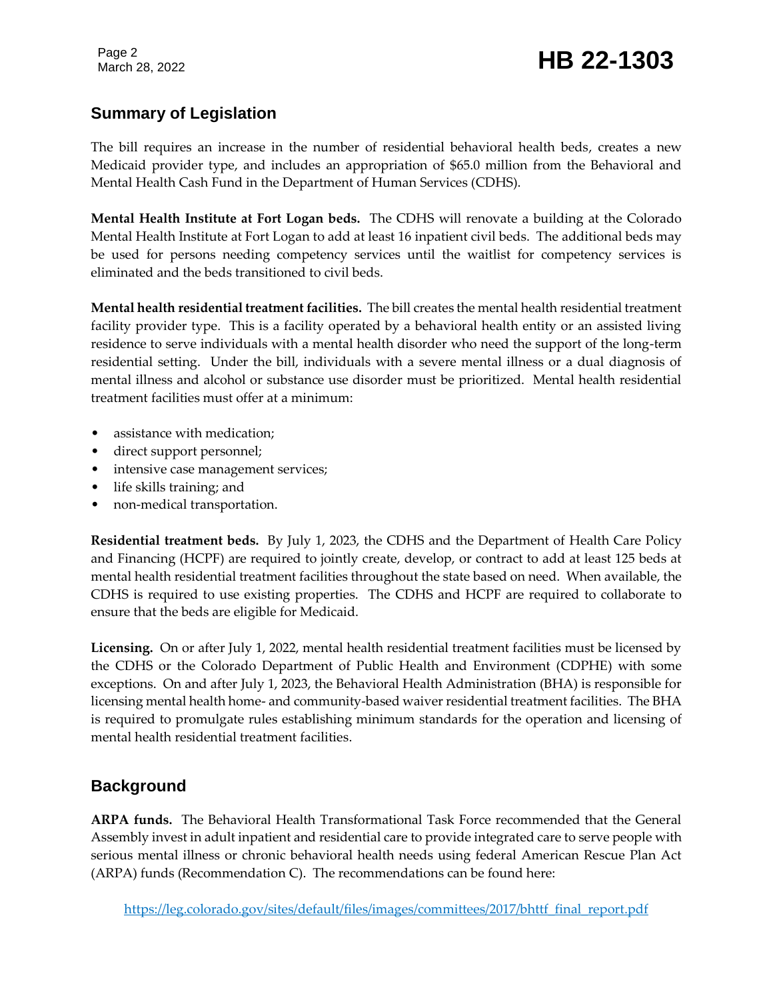## Page 2<br>March 28, 2022 **HB 22-1303**

## **Summary of Legislation**

The bill requires an increase in the number of residential behavioral health beds, creates a new Medicaid provider type, and includes an appropriation of \$65.0 million from the Behavioral and Mental Health Cash Fund in the Department of Human Services (CDHS).

**Mental Health Institute at Fort Logan beds.** The CDHS will renovate a building at the Colorado Mental Health Institute at Fort Logan to add at least 16 inpatient civil beds. The additional beds may be used for persons needing competency services until the waitlist for competency services is eliminated and the beds transitioned to civil beds.

**Mental health residential treatment facilities.** The bill creates the mental health residential treatment facility provider type. This is a facility operated by a behavioral health entity or an assisted living residence to serve individuals with a mental health disorder who need the support of the long-term residential setting. Under the bill, individuals with a severe mental illness or a dual diagnosis of mental illness and alcohol or substance use disorder must be prioritized. Mental health residential treatment facilities must offer at a minimum:

- assistance with medication;
- direct support personnel;
- intensive case management services;
- life skills training; and
- non-medical transportation.

**Residential treatment beds.** By July 1, 2023, the CDHS and the Department of Health Care Policy and Financing (HCPF) are required to jointly create, develop, or contract to add at least 125 beds at mental health residential treatment facilities throughout the state based on need. When available, the CDHS is required to use existing properties. The CDHS and HCPF are required to collaborate to ensure that the beds are eligible for Medicaid.

**Licensing.** On or after July 1, 2022, mental health residential treatment facilities must be licensed by the CDHS or the Colorado Department of Public Health and Environment (CDPHE) with some exceptions. On and after July 1, 2023, the Behavioral Health Administration (BHA) is responsible for licensing mental health home- and community-based waiver residential treatment facilities. The BHA is required to promulgate rules establishing minimum standards for the operation and licensing of mental health residential treatment facilities.

### **Background**

**ARPA funds.** The Behavioral Health Transformational Task Force recommended that the General Assembly invest in adult inpatient and residential care to provide integrated care to serve people with serious mental illness or chronic behavioral health needs using federal American Rescue Plan Act (ARPA) funds (Recommendation C). The recommendations can be found here: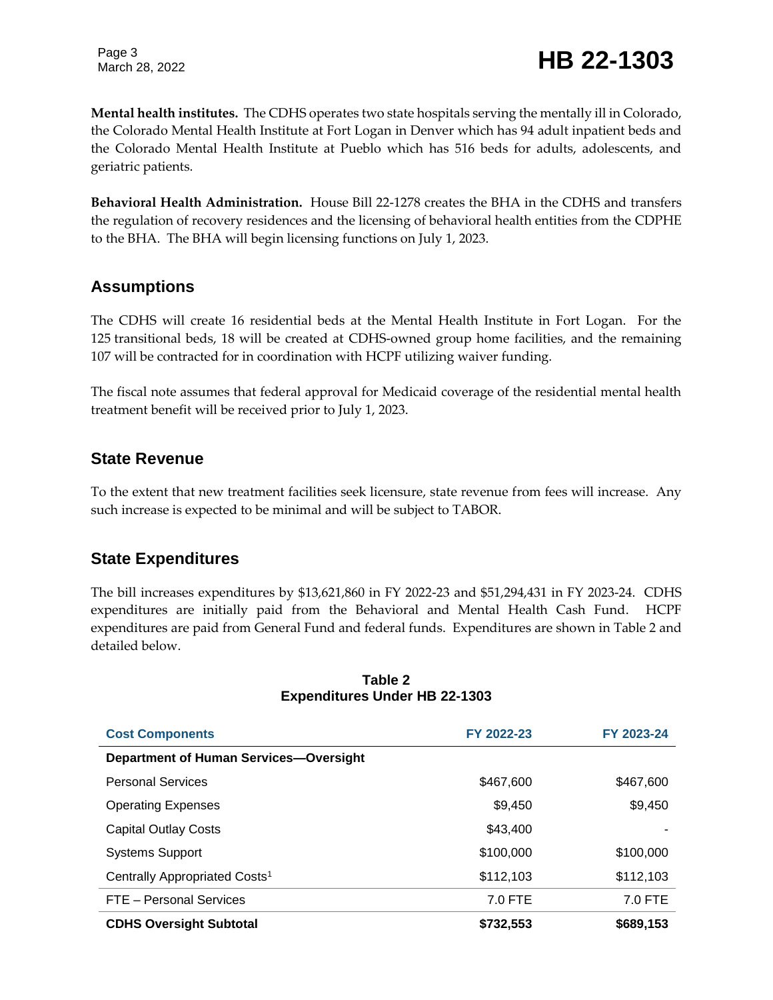Page 3

## Page 3<br>March 28, 2022 **HB 22-1303**

**Mental health institutes.** The CDHS operates two state hospitals serving the mentally ill in Colorado, the Colorado Mental Health Institute at Fort Logan in Denver which has 94 adult inpatient beds and the Colorado Mental Health Institute at Pueblo which has 516 beds for adults, adolescents, and geriatric patients.

**Behavioral Health Administration.** House Bill 22-1278 creates the BHA in the CDHS and transfers the regulation of recovery residences and the licensing of behavioral health entities from the CDPHE to the BHA. The BHA will begin licensing functions on July 1, 2023.

### **Assumptions**

The CDHS will create 16 residential beds at the Mental Health Institute in Fort Logan. For the 125 transitional beds, 18 will be created at CDHS-owned group home facilities, and the remaining 107 will be contracted for in coordination with HCPF utilizing waiver funding.

The fiscal note assumes that federal approval for Medicaid coverage of the residential mental health treatment benefit will be received prior to July 1, 2023.

### **State Revenue**

To the extent that new treatment facilities seek licensure, state revenue from fees will increase. Any such increase is expected to be minimal and will be subject to TABOR.

### **State Expenditures**

The bill increases expenditures by \$13,621,860 in FY 2022-23 and \$51,294,431 in FY 2023-24. CDHS expenditures are initially paid from the Behavioral and Mental Health Cash Fund. HCPF expenditures are paid from General Fund and federal funds. Expenditures are shown in Table 2 and detailed below.

| <b>Cost Components</b>                        | FY 2022-23 | FY 2023-24 |
|-----------------------------------------------|------------|------------|
| <b>Department of Human Services-Oversight</b> |            |            |
| <b>Personal Services</b>                      | \$467,600  | \$467,600  |
| <b>Operating Expenses</b>                     | \$9,450    | \$9,450    |
| <b>Capital Outlay Costs</b>                   | \$43,400   |            |
| <b>Systems Support</b>                        | \$100,000  | \$100,000  |
| Centrally Appropriated Costs <sup>1</sup>     | \$112,103  | \$112,103  |
| FTE - Personal Services                       | 7.0 FTE    | 7.0 FTE    |
| <b>CDHS Oversight Subtotal</b>                | \$732,553  | \$689,153  |

#### **Table 2 Expenditures Under HB 22-1303**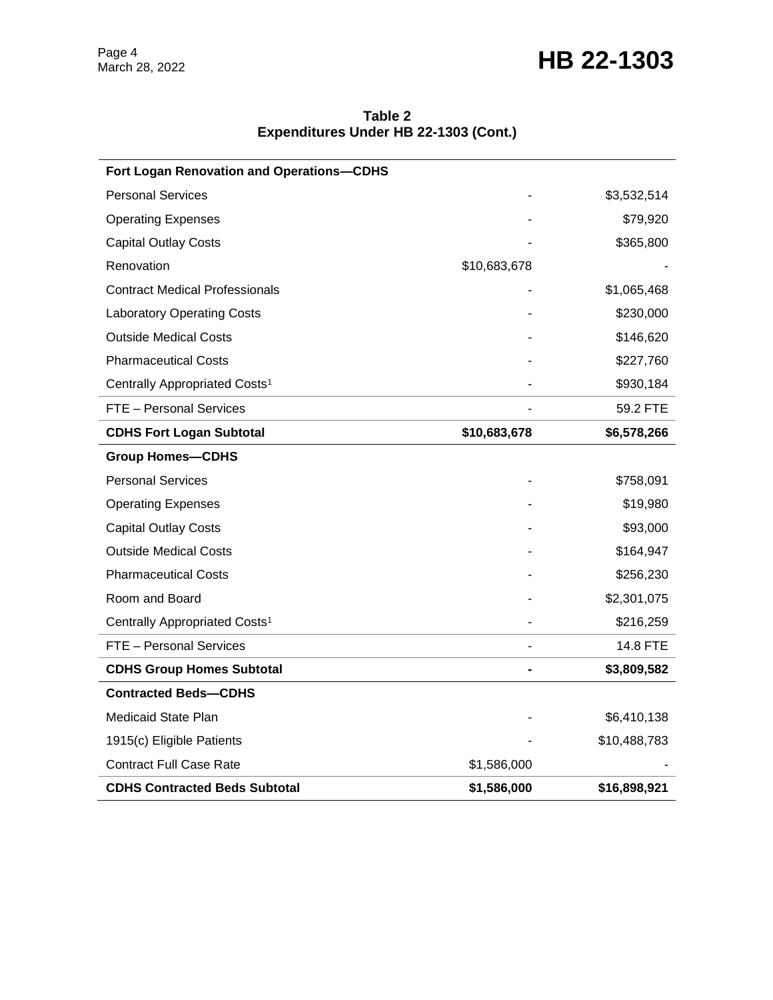## March 28, 2022 **HB 22-1303**

| Table 2 |                                       |
|---------|---------------------------------------|
|         | Expenditures Under HB 22-1303 (Cont.) |

| Fort Logan Renovation and Operations-CDHS |              |              |
|-------------------------------------------|--------------|--------------|
| <b>Personal Services</b>                  |              | \$3,532,514  |
| <b>Operating Expenses</b>                 |              | \$79,920     |
| <b>Capital Outlay Costs</b>               |              | \$365,800    |
| Renovation                                | \$10,683,678 |              |
| <b>Contract Medical Professionals</b>     |              | \$1,065,468  |
| <b>Laboratory Operating Costs</b>         |              | \$230,000    |
| <b>Outside Medical Costs</b>              |              | \$146,620    |
| <b>Pharmaceutical Costs</b>               |              | \$227,760    |
| Centrally Appropriated Costs <sup>1</sup> |              | \$930,184    |
| FTE - Personal Services                   |              | 59.2 FTE     |
| <b>CDHS Fort Logan Subtotal</b>           | \$10,683,678 | \$6,578,266  |
| <b>Group Homes-CDHS</b>                   |              |              |
| <b>Personal Services</b>                  |              | \$758,091    |
| <b>Operating Expenses</b>                 |              | \$19,980     |
| <b>Capital Outlay Costs</b>               |              | \$93,000     |
| <b>Outside Medical Costs</b>              |              | \$164,947    |
| <b>Pharmaceutical Costs</b>               |              | \$256,230    |
| Room and Board                            |              | \$2,301,075  |
| Centrally Appropriated Costs <sup>1</sup> |              | \$216,259    |
| FTE - Personal Services                   |              | 14.8 FTE     |
| <b>CDHS Group Homes Subtotal</b>          |              | \$3,809,582  |
| <b>Contracted Beds-CDHS</b>               |              |              |
| Medicaid State Plan                       |              | \$6,410,138  |
| 1915(c) Eligible Patients                 |              | \$10,488,783 |
| <b>Contract Full Case Rate</b>            | \$1,586,000  |              |
| <b>CDHS Contracted Beds Subtotal</b>      | \$1,586,000  | \$16,898,921 |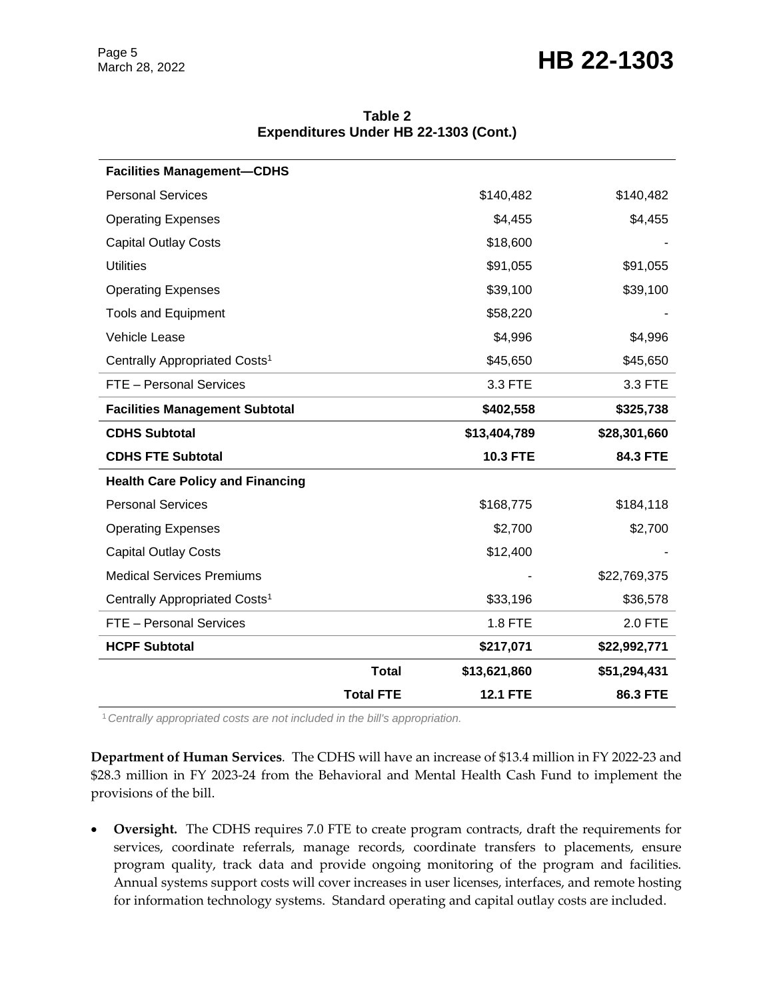## Page 5<br>March 28, 2022 **HB 22-1303**

| <b>Facilities Management-CDHS</b>         |                  |                 |              |
|-------------------------------------------|------------------|-----------------|--------------|
| <b>Personal Services</b>                  |                  | \$140,482       | \$140,482    |
| <b>Operating Expenses</b>                 |                  | \$4,455         | \$4,455      |
| <b>Capital Outlay Costs</b>               |                  | \$18,600        |              |
| <b>Utilities</b>                          |                  | \$91,055        | \$91,055     |
| <b>Operating Expenses</b>                 |                  | \$39,100        | \$39,100     |
| <b>Tools and Equipment</b>                |                  | \$58,220        |              |
| Vehicle Lease                             |                  | \$4,996         | \$4,996      |
| Centrally Appropriated Costs <sup>1</sup> |                  | \$45,650        | \$45,650     |
| FTE - Personal Services                   |                  | 3.3 FTE         | 3.3 FTE      |
| <b>Facilities Management Subtotal</b>     |                  | \$402,558       | \$325,738    |
| <b>CDHS Subtotal</b>                      |                  | \$13,404,789    | \$28,301,660 |
| <b>CDHS FTE Subtotal</b>                  |                  | <b>10.3 FTE</b> | 84.3 FTE     |
| <b>Health Care Policy and Financing</b>   |                  |                 |              |
| <b>Personal Services</b>                  |                  | \$168,775       | \$184,118    |
| <b>Operating Expenses</b>                 |                  | \$2,700         | \$2,700      |
| <b>Capital Outlay Costs</b>               |                  | \$12,400        |              |
| <b>Medical Services Premiums</b>          |                  |                 | \$22,769,375 |
| Centrally Appropriated Costs <sup>1</sup> |                  | \$33,196        | \$36,578     |
| FTE - Personal Services                   |                  | 1.8 FTE         | 2.0 FTE      |
| <b>HCPF Subtotal</b>                      |                  | \$217,071       | \$22,992,771 |
|                                           | <b>Total</b>     | \$13,621,860    | \$51,294,431 |
|                                           | <b>Total FTE</b> | <b>12.1 FTE</b> | 86.3 FTE     |

**Table 2 Expenditures Under HB 22-1303 (Cont.)**

<sup>1</sup>*Centrally appropriated costs are not included in the bill's appropriation.*

**Department of Human Services***.* The CDHS will have an increase of \$13.4 million in FY 2022-23 and \$28.3 million in FY 2023-24 from the Behavioral and Mental Health Cash Fund to implement the provisions of the bill.

 **Oversight.** The CDHS requires 7.0 FTE to create program contracts, draft the requirements for services, coordinate referrals, manage records, coordinate transfers to placements, ensure program quality, track data and provide ongoing monitoring of the program and facilities. Annual systems support costs will cover increases in user licenses, interfaces, and remote hosting for information technology systems. Standard operating and capital outlay costs are included.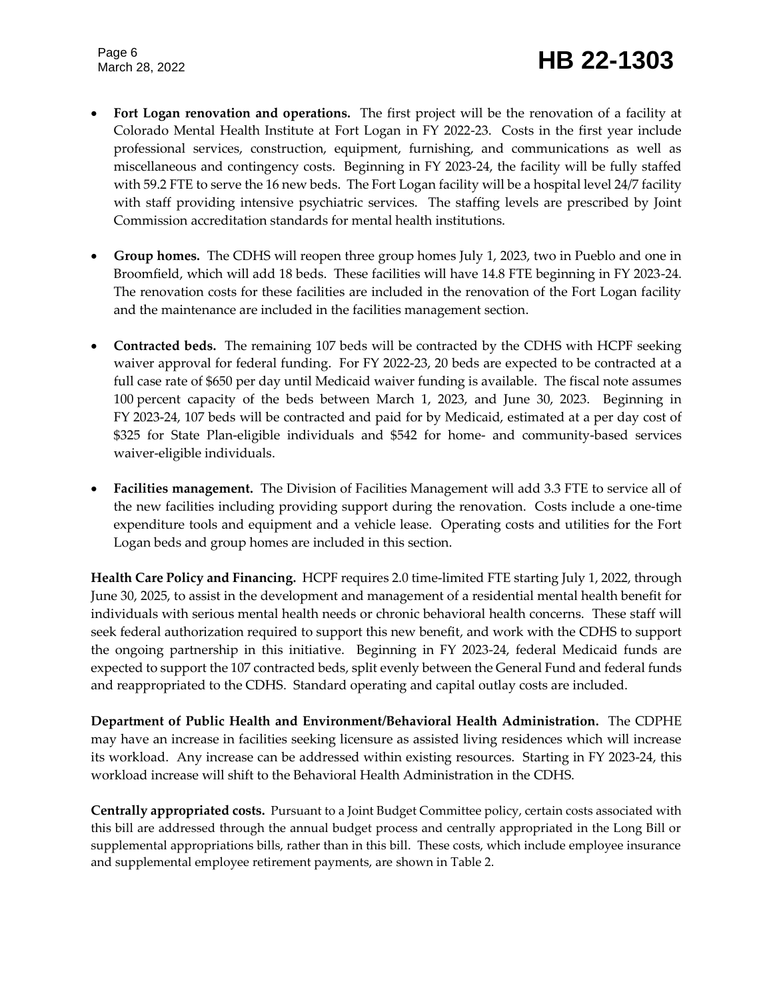Page 6

## Page 6<br>March 28, 2022 **HB 22-1303**

- **Fort Logan renovation and operations.** The first project will be the renovation of a facility at Colorado Mental Health Institute at Fort Logan in FY 2022-23. Costs in the first year include professional services, construction, equipment, furnishing, and communications as well as miscellaneous and contingency costs. Beginning in FY 2023-24, the facility will be fully staffed with 59.2 FTE to serve the 16 new beds. The Fort Logan facility will be a hospital level 24/7 facility with staff providing intensive psychiatric services. The staffing levels are prescribed by Joint Commission accreditation standards for mental health institutions.
- **Group homes.** The CDHS will reopen three group homes July 1, 2023, two in Pueblo and one in Broomfield, which will add 18 beds. These facilities will have 14.8 FTE beginning in FY 2023-24. The renovation costs for these facilities are included in the renovation of the Fort Logan facility and the maintenance are included in the facilities management section.
- **Contracted beds.** The remaining 107 beds will be contracted by the CDHS with HCPF seeking waiver approval for federal funding. For FY 2022-23, 20 beds are expected to be contracted at a full case rate of \$650 per day until Medicaid waiver funding is available. The fiscal note assumes 100 percent capacity of the beds between March 1, 2023, and June 30, 2023. Beginning in FY 2023-24, 107 beds will be contracted and paid for by Medicaid, estimated at a per day cost of \$325 for State Plan-eligible individuals and \$542 for home- and community-based services waiver-eligible individuals.
- **Facilities management.** The Division of Facilities Management will add 3.3 FTE to service all of the new facilities including providing support during the renovation. Costs include a one-time expenditure tools and equipment and a vehicle lease. Operating costs and utilities for the Fort Logan beds and group homes are included in this section.

**Health Care Policy and Financing.** HCPF requires 2.0 time-limited FTE starting July 1, 2022, through June 30, 2025, to assist in the development and management of a residential mental health benefit for individuals with serious mental health needs or chronic behavioral health concerns. These staff will seek federal authorization required to support this new benefit, and work with the CDHS to support the ongoing partnership in this initiative. Beginning in FY 2023-24, federal Medicaid funds are expected to support the 107 contracted beds, split evenly between the General Fund and federal funds and reappropriated to the CDHS. Standard operating and capital outlay costs are included.

**Department of Public Health and Environment/Behavioral Health Administration.** The CDPHE may have an increase in facilities seeking licensure as assisted living residences which will increase its workload. Any increase can be addressed within existing resources. Starting in FY 2023-24, this workload increase will shift to the Behavioral Health Administration in the CDHS.

**Centrally appropriated costs.** Pursuant to a Joint Budget Committee policy, certain costs associated with this bill are addressed through the annual budget process and centrally appropriated in the Long Bill or supplemental appropriations bills, rather than in this bill. These costs, which include employee insurance and supplemental employee retirement payments, are shown in Table 2.